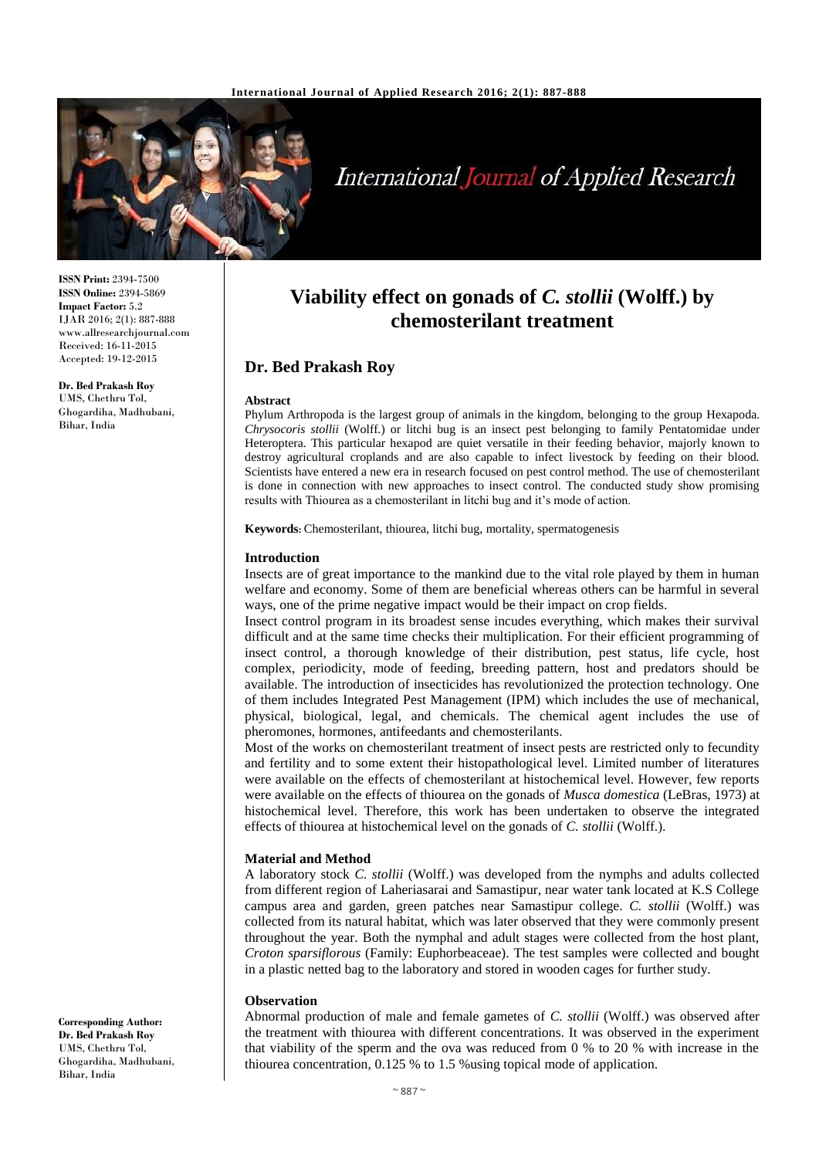

# **International Journal of Applied Research**

**ISSN Print:** 2394-7500 **ISSN Online:** 2394-5869 **Impact Factor:** 5.2 IJAR 2016; 2(1): 887-888 www.allresearchjournal.com Received: 16-11-2015 Accepted: 19-12-2015

**Dr. Bed Prakash Roy** UMS, Chethru Tol, Ghogardiha, Madhubani, Bihar, India

## **Viability effect on gonads of** *C. stollii* **(Wolff.) by chemosterilant treatment**

## **Dr. Bed Prakash Roy**

#### **Abstract**

Phylum Arthropoda is the largest group of animals in the kingdom, belonging to the group Hexapoda. *Chrysocoris stollii* (Wolff.) or litchi bug is an insect pest belonging to family Pentatomidae under Heteroptera. This particular hexapod are quiet versatile in their feeding behavior, majorly known to destroy agricultural croplands and are also capable to infect livestock by feeding on their blood. Scientists have entered a new era in research focused on pest control method. The use of chemosterilant is done in connection with new approaches to insect control. The conducted study show promising results with Thiourea as a chemosterilant in litchi bug and it's mode of action.

**Keywords:** Chemosterilant, thiourea, litchi bug, mortality, spermatogenesis

#### **Introduction**

Insects are of great importance to the mankind due to the vital role played by them in human welfare and economy. Some of them are beneficial whereas others can be harmful in several ways, one of the prime negative impact would be their impact on crop fields.

Insect control program in its broadest sense incudes everything, which makes their survival difficult and at the same time checks their multiplication. For their efficient programming of insect control, a thorough knowledge of their distribution, pest status, life cycle, host complex, periodicity, mode of feeding, breeding pattern, host and predators should be available. The introduction of insecticides has revolutionized the protection technology. One of them includes Integrated Pest Management (IPM) which includes the use of mechanical, physical, biological, legal, and chemicals. The chemical agent includes the use of pheromones, hormones, antifeedants and chemosterilants.

Most of the works on chemosterilant treatment of insect pests are restricted only to fecundity and fertility and to some extent their histopathological level. Limited number of literatures were available on the effects of chemosterilant at histochemical level. However, few reports were available on the effects of thiourea on the gonads of *Musca domestica* (LeBras, 1973) at histochemical level. Therefore, this work has been undertaken to observe the integrated effects of thiourea at histochemical level on the gonads of *C. stollii* (Wolff.).

#### **Material and Method**

A laboratory stock *C. stollii* (Wolff.) was developed from the nymphs and adults collected from different region of Laheriasarai and Samastipur, near water tank located at K.S College campus area and garden, green patches near Samastipur college. *C. stollii* (Wolff.) was collected from its natural habitat, which was later observed that they were commonly present throughout the year. Both the nymphal and adult stages were collected from the host plant, *Croton sparsiflorous* (Family: Euphorbeaceae). The test samples were collected and bought in a plastic netted bag to the laboratory and stored in wooden cages for further study.

## **Observation**

Abnormal production of male and female gametes of *C. stollii* (Wolff.) was observed after the treatment with thiourea with different concentrations. It was observed in the experiment that viability of the sperm and the ova was reduced from 0 % to 20 % with increase in the thiourea concentration, 0.125 % to 1.5 %using topical mode of application.

**Corresponding Author: Dr. Bed Prakash Roy** UMS, Chethru Tol, Ghogardiha, Madhubani, Bihar, India